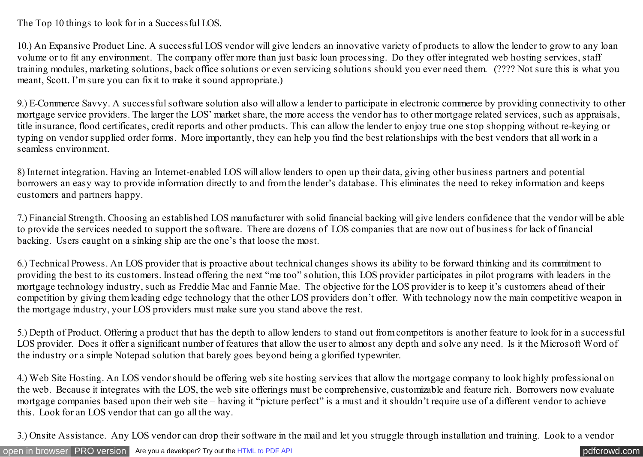The Top 10 things to look for in a Successful LOS.

10.) An Expansive Product Line. A successful LOS vendor will give lenders an innovative variety of products to allow the lender to grow to any loan volume or to fit any environment. The company offer more than just basic loan processing. Do they offer integrated web hosting services, staff training modules, marketing solutions, back office solutions or even servicing solutions should you ever need them. (???? Not sure this is what you meant, Scott. I'm sure you can fix it to make it sound appropriate.)

9.) E-Commerce Savvy. A successful software solution also will allow a lender to participate in electronic commerce by providing connectivity to other mortgage service providers. The larger the LOS' market share, the more access the vendor has to other mortgage related services, such as appraisals, title insurance, flood certificates, credit reports and other products. This can allow the lender to enjoy true one stop shopping without re-keying or typing on vendor supplied order forms. More importantly, they can help you find the best relationships with the best vendors that all work in a seamless environment.

8) Internet integration. Having an Internet-enabled LOS will allow lenders to open up their data, giving other business partners and potential borrowers an easy way to provide information directly to and from the lender's database. This eliminates the need to rekey information and keeps customers and partners happy.

7.) Financial Strength. Choosing an established LOS manufacturer with solid financial backing will give lenders confidence that the vendor will be able to provide the services needed to support the software. There are dozens of LOS companies that are now out of business for lack of financial backing. Users caught on a sinking ship are the one's that loose the most.

6.) Technical Prowess. An LOS provider that is proactive about technical changes shows its ability to be forward thinking and its commitment to providing the best to its customers. Instead offering the next "me too" solution, this LOS provider participates in pilot programs with leaders in the mortgage technology industry, such as Freddie Mac and Fannie Mae. The objective for the LOS provider is to keep it's customers ahead of their competition by giving them leading edge technology that the other LOS providers don't offer. With technology now the main competitive weapon in the mortgage industry, your LOS providers must make sure you stand above the rest.

5.) Depth of Product. Offering a product that has the depth to allow lenders to stand out from competitors is another feature to look for in a successful LOS provider. Does it offer a significant number of features that allow the user to almost any depth and solve any need. Is it the Microsoft Word of the industry or a simple Notepad solution that barely goes beyond being a glorified typewriter.

4.) Web Site Hosting. An LOS vendor should be offering web site hosting services that allow the mortgage company to look highly professional on the web. Because it integrates with the LOS, the web site offerings must be comprehensive, customizable and feature rich. Borrowers now evaluate mortgage companies based upon their web site – having it "picture perfect" is a must and it shouldn't require use of a different vendor to achieve this. Look for an LOS vendor that can go all the way.

3.) Onsite Assistance. Any LOS vendor can drop their software in the mail and let you struggle through installation and training. Look to a vendor